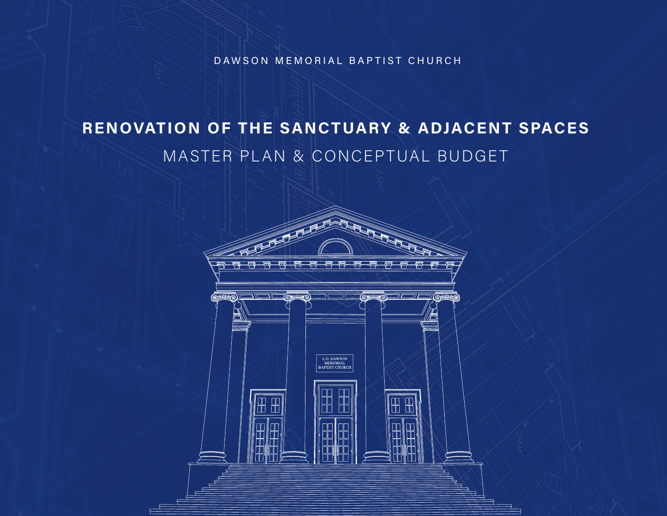DAWSON MEMORIAL BAPTIST CHURCH

# RENOVATION OF THE SANCTUARY & ADJACENT SPACES MASTER PLAN & CONCEPTUAL BUDGET